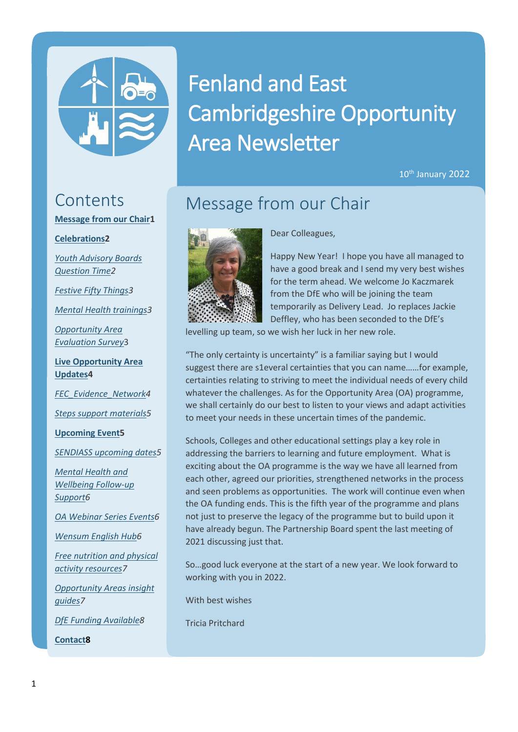

# Fenland and East Cambridgeshire Opportunity Area Newsletter

10<sup>th</sup> January 2022

## **Contents**

**[Message from our Chair1](#page-0-0)**

#### **[Celebrations2](#page-1-0)**

*[Youth Advisory Boards](#page-1-1)  [Question Time2](#page-1-1)*

*[Festive Fifty Things3](#page-2-0)*

*[Mental Health trainings3](#page-2-1)*

*[Opportunity Area](#page-2-2)  [Evaluation Survey](#page-2-2)*3

**[Live Opportunity Area](#page-3-0)  [Updates4](#page-3-0)**

*[FEC\\_Evidence\\_Network4](#page-3-1)*

*[Steps support materials5](#page-4-0)*

**[Upcoming Event5](#page-4-1)**

*[SENDIASS upcoming dates5](#page-4-2)*

*[Mental Health and](#page-5-0)  [Wellbeing Follow-up](#page-5-0)  [Support6](#page-5-0)*

*[OA Webinar Series Events6](#page-5-1)*

*[Wensum English Hub6](#page-5-2)*

*[Free nutrition and physical](#page-6-0)  [activity resources7](#page-6-0)*

*[Opportunity Areas insight](#page-6-1)  [guides7](#page-6-1)*

*[DfE Funding Available8](#page-7-0)*

<span id="page-0-0"></span>**[Contact8](#page-7-1)**

Message from our Chair



Dear Colleagues,

Happy New Year! I hope you have all managed to have a good break and I send my very best wishes for the term ahead. We welcome Jo Kaczmarek from the DfE who will be joining the team temporarily as Delivery Lead. Jo replaces Jackie Deffley, who has been seconded to the DfE's

levelling up team, so we wish her luck in her new role.

"The only certainty is uncertainty" is a familiar saying but I would suggest there are s1everal certainties that you can name……for example, certainties relating to striving to meet the individual needs of every child whatever the challenges. As for the Opportunity Area (OA) programme, we shall certainly do our best to listen to your views and adapt activities to meet your needs in these uncertain times of the pandemic.

Schools, Colleges and other educational settings play a key role in addressing the barriers to learning and future employment. What is exciting about the OA programme is the way we have all learned from each other, agreed our priorities, strengthened networks in the process and seen problems as opportunities. The work will continue even when the OA funding ends. This is the fifth year of the programme and plans not just to preserve the legacy of the programme but to build upon it have already begun. The Partnership Board spent the last meeting of 2021 discussing just that.

So…good luck everyone at the start of a new year. We look forward to working with you in 2022.

With best wishes

Tricia Pritchard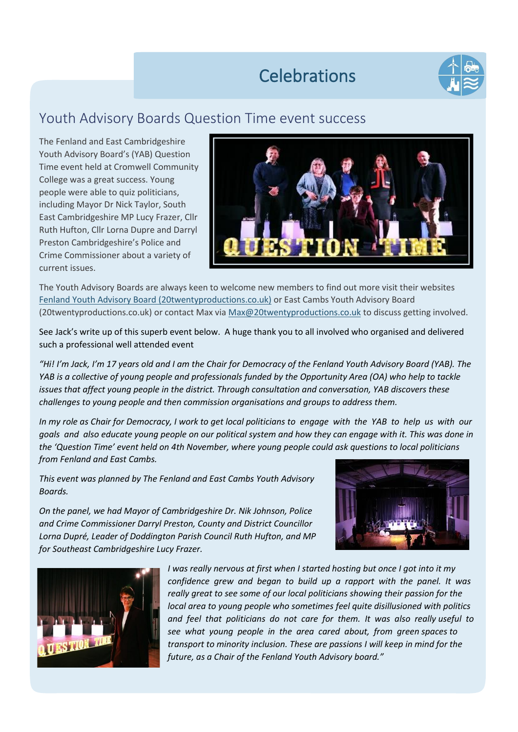## **Celebrations**



### <span id="page-1-1"></span><span id="page-1-0"></span>Youth Advisory Boards Question Time event success

The Fenland and East Cambridgeshire Youth Advisory Board's (YAB) Question Time event held at Cromwell Community College was a great success. Young people were able to quiz politicians, including Mayor Dr Nick Taylor, South East Cambridgeshire MP Lucy Frazer, Cllr Ruth Hufton, Cllr Lorna Dupre and Darryl Preston Cambridgeshire's Police and Crime Commissioner about a variety of current issues.



The Youth Advisory Boards are always keen to welcome new members to find out more visit their websites [Fenland Youth Advisory Board \(20twentyproductions.co.uk\)](https://yep.20twentyproductions.co.uk/fenland-yab) or East Cambs Youth Advisory Board (20twentyproductions.co.uk) or contact Max vi[a Max@20twentyproductions.co.uk](mailto:Max@20twentyproductions.co.uk) to discuss getting involved.

See Jack's write up of this superb event below. A huge thank you to all involved who organised and delivered such a professional well attended event

*"Hi! I'm Jack, I'm 17 years old and I am the Chair for Democracy of the Fenland Youth Advisory Board (YAB). The YAB is a collective of young people and professionals funded by the Opportunity Area (OA) who help to tackle issues that affect young people in the district. Through consultation and conversation, YAB discovers these challenges to young people and then commission organisations and groups to address them.*

*In my role as Chair for Democracy, I work to get local politicians to engage with the YAB to help us with our goals and also educate young people on our political system and how they can engage with it. This was done in the 'Question Time' event held on 4th November, where young people could ask questions to local politicians from Fenland and East Cambs.* 

*This event was planned by The Fenland and East Cambs Youth Advisory Boards.*

*On the panel, we had Mayor of Cambridgeshire Dr. Nik Johnson, Police and Crime Commissioner Darryl Preston, County and District Councillor Lorna Dupré, Leader of Doddington Parish Council Ruth Hufton, and MP for Southeast Cambridgeshire Lucy Frazer.*





*I was really nervous at first when I started hosting but once I got into it my confidence grew and began to build up a rapport with the panel. It was really great to see some of our local politicians showing their passion for the local area to young people who sometimes feel quite disillusioned with politics and feel that politicians do not care for them. It was also really useful to see what young people in the area cared about, from green spaces to transport to minority inclusion. These are passions I will keep in mind for the future, as a Chair of the Fenland Youth Advisory board."*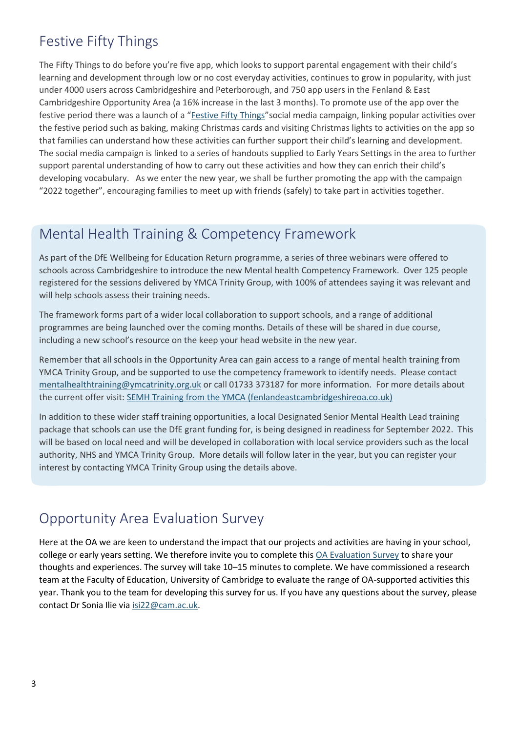## <span id="page-2-0"></span>Festive Fifty Things

The Fifty Things to do before you're five app, which looks to support parental engagement with their child's learning and development through low or no cost everyday activities, continues to grow in popularity, with just under 4000 users across Cambridgeshire and Peterborough, and 750 app users in the Fenland & East Cambridgeshire Opportunity Area (a 16% increase in the last 3 months). To promote use of the app over the festive period there was a launch of a "[Festive Fifty Things](https://fenlandeastcambridgeshireoa.co.uk/festive-fifty-things/)" social media campaign, linking popular activities over the festive period such as baking, making Christmas cards and visiting Christmas lights to activities on the app so that families can understand how these activities can further support their child's learning and development. The social media campaign is linked to a series of handouts supplied to Early Years Settings in the area to further support parental understanding of how to carry out these activities and how they can enrich their child's developing vocabulary. As we enter the new year, we shall be further promoting the app with the campaign "2022 together", encouraging families to meet up with friends (safely) to take part in activities together.

### <span id="page-2-1"></span>Mental Health Training & Competency Framework

As part of the DfE Wellbeing for Education Return programme, a series of three webinars were offered to schools across Cambridgeshire to introduce the new Mental health Competency Framework. Over 125 people registered for the sessions delivered by YMCA Trinity Group, with 100% of attendees saying it was relevant and will help schools assess their training needs.

The framework forms part of a wider local collaboration to support schools, and a range of additional programmes are being launched over the coming months. Details of these will be shared in due course, including a new school's resource on the keep your head website in the new year.

Remember that all schools in the Opportunity Area can gain access to a range of mental health training from YMCA Trinity Group, and be supported to use the competency framework to identify needs. Please contact [mentalhealthtraining@ymcatrinity.org.uk](mailto:mentalhealthtraining@ymcatrinity.org.uk) or call 01733 373187 for more information. For more details about the current offer visit: SEMH Training from the YMCA [\(fenlandeastcambridgeshireoa.co.uk\)](https://fenlandeastcambridgeshireoa.co.uk/oa-funded-offers/semh-training-from-the-ymca/)

passage that sensors can use the BrE grant randing for, is semig designed in reddiness for september ESEEP. This In addition to these wider staff training opportunities, a local Designated Senior Mental Health Lead training package that schools can use the DfE grant funding for, is being designed in readiness for September 2022. This authority, NHS and YMCA Trinity Group. More details will follow later in the year, but you can register your interest by contacting YMCA Trinity Group using the details above.

### <span id="page-2-2"></span>Opportunity Area Evaluation Survey

Here at the OA we are keen to understand the impact that our projects and activities are having in your school, college or early years setting. We therefore invite you to complete this [OA Evaluation Survey](https://view.officeapps.live.com/op/view.aspx?src=https%3A%2F%2Ffenlandeastcambridgeshireoa.files.wordpress.com%2F2021%2F12%2Ffecoa_baseline_survey.docx&wdOrigin=BROWSELINK) to share your thoughts and experiences. The survey will take 10–15 minutes to complete. We have commissioned a research team at the Faculty of Education, University of Cambridge to evaluate the range of OA-supported activities this year. Thank you to the team for developing this survey for us. If you have any questions about the survey, please contact Dr Sonia Ilie via [isi22@cam.ac.uk.](mailto:isi22@cam.ac.uk)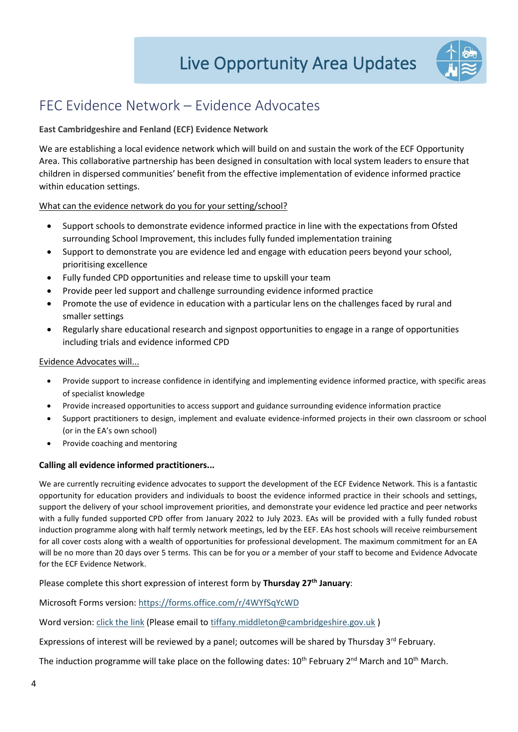

## <span id="page-3-1"></span><span id="page-3-0"></span>FEC Evidence Network – Evidence Advocates

### **East Cambridgeshire and Fenland (ECF) Evidence Network**

We are establishing a local evidence network which will build on and sustain the work of the ECF Opportunity Area. This collaborative partnership has been designed in consultation with local system leaders to ensure that children in dispersed communities' benefit from the effective implementation of evidence informed practice within education settings.

### What can the evidence network do you for your setting/school?

- Support schools to demonstrate evidence informed practice in line with the expectations from Ofsted surrounding School Improvement, this includes fully funded implementation training
- Support to demonstrate you are evidence led and engage with education peers beyond your school, prioritising excellence
- Fully funded CPD opportunities and release time to upskill your team
- Provide peer led support and challenge surrounding evidence informed practice
- Promote the use of evidence in education with a particular lens on the challenges faced by rural and smaller settings
- Regularly share educational research and signpost opportunities to engage in a range of opportunities including trials and evidence informed CPD

### Evidence Advocates will...

- Provide support to increase confidence in identifying and implementing evidence informed practice, with specific areas of specialist knowledge
- Provide increased opportunities to access support and guidance surrounding evidence information practice
- Support practitioners to design, implement and evaluate evidence-informed projects in their own classroom or school (or in the EA's own school)
- Provide coaching and mentoring

### **Calling all evidence informed practitioners...**

We are currently recruiting evidence advocates to support the development of the ECF Evidence Network. This is a fantastic opportunity for education providers and individuals to boost the evidence informed practice in their schools and settings, support the delivery of your school improvement priorities, and demonstrate your evidence led practice and peer networks with a fully funded supported CPD offer from January 2022 to July 2023. EAs will be provided with a fully funded robust induction programme along with half termly network meetings, led by the EEF. EAs host schools will receive reimbursement for all cover costs along with a wealth of opportunities for professional development. The maximum commitment for an EA will be no more than 20 days over 5 terms. This can be for you or a member of your staff to become and Evidence Advocate for the ECF Evidence Network.

Please complete this short expression of interest form by **Thursday 27th January**:

Microsoft Forms version:<https://forms.office.com/r/4WYfSqYcWD>

Word version: [click the link](https://fenlandeastcambridgeshireoa.files.wordpress.com/2022/01/ecf-evidence-network-evidence-advocate-expression-of-interest-word-version.docx) (Please email to [tiffany.middleton@cambridgeshire.gov.uk](mailto:tiffany.middleton@cambridgeshire.gov.uk))

Expressions of interest will be reviewed by a panel; outcomes will be shared by Thursday 3<sup>rd</sup> February.

The induction programme will take place on the following dates:  $10^{\text{th}}$  February 2<sup>nd</sup> March and  $10^{\text{th}}$  March.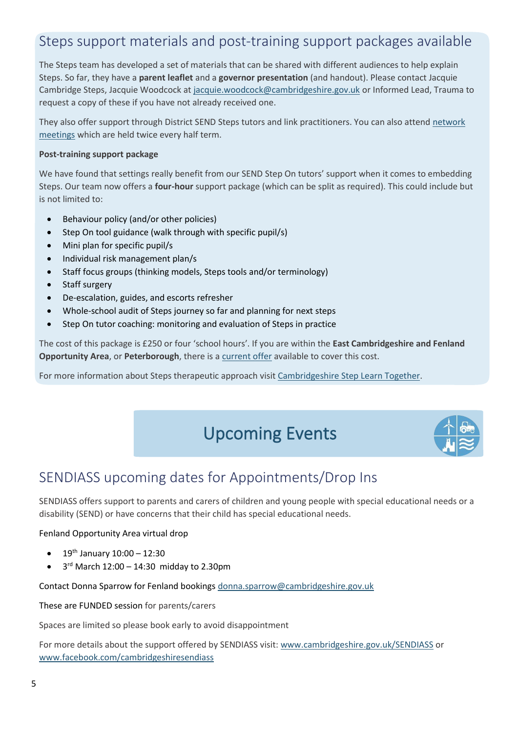## <span id="page-4-0"></span>Steps support materials and post-training support packages available

The Steps team has developed a set of materials that can be shared with different audiences to help explain Steps. So far, they have a **parent leaflet** and a **governor presentation** (and handout). Please contact Jacquie Cambridge Steps, Jacquie Woodcock at [jacquie.woodcock@cambridgeshire.gov.uk](mailto:jacquie.woodcock@cambridgeshire.gov.uk) or Informed Lead, Trauma to request a copy of these if you have not already received one.

They also offer support through District SEND Steps tutors and link practitioners. You can also attend [network](https://www.cambslearntogether.co.uk/asset-library/Cambridgeshire-Steps-Network-Meeting-Flyer-21-22.pdf)  [meetings](https://www.cambslearntogether.co.uk/asset-library/Cambridgeshire-Steps-Network-Meeting-Flyer-21-22.pdf) which are held twice every half term.

### **Post-training support package**

We have found that settings really benefit from our SEND Step On tutors' support when it comes to embedding Steps. Our team now offers a **four-hour** support package (which can be split as required). This could include but is not limited to:

- Behaviour policy (and/or other policies)
- Step On tool guidance (walk through with specific pupil/s)
- Mini plan for specific pupil/s
- Individual risk management plan/s
- Staff focus groups (thinking models, Steps tools and/or terminology)
- Staff surgery
- De-escalation, guides, and escorts refresher
- Whole-school audit of Steps journey so far and planning for next steps
- Step On tutor coaching: monitoring and evaluation of Steps in practice

The cost of this package is £250 or four 'school hours'. If you are within the **East Cambridgeshire and Fenland Opportunity Area**, or **Peterborough**, there is a [current offer](https://fenlandeastcambridgeshireoa.co.uk/oa-funded-offers/embedding-steps/) available to cover this cost.

For more information about Steps therapeutic approach visit [Cambridgeshire Step Learn Together.](https://www.cambslearntogether.co.uk/cambridgeshire-send-service-0-25/cambridgeshire-steps)

## <span id="page-4-1"></span>Upcoming Events



### <span id="page-4-2"></span>SENDIASS upcoming dates for Appointments/Drop Ins

SENDIASS offers support to parents and carers of children and young people with special educational needs or a disability (SEND) or have concerns that their child has special educational needs.

Fenland Opportunity Area virtual drop

- 19th January 10:00 12:30
- $\bullet$  3<sup>rd</sup> March 12:00 14:30 midday to 2.30pm

Contact Donna Sparrow for Fenland bookings [donna.sparrow@cambridgeshire.gov.uk](mailto:donna.sparrow@cambridgeshire.gov.uk)

These are FUNDED session for parents/carers

Spaces are limited so please book early to avoid disappointment

For more details about the support offered by SENDIASS visit: [www.cambridgeshire.gov.uk/SENDIASS](https://www.cambridgeshire.gov.uk/residents/children-and-families/local-offer/local-offer-care-and-family-support/send-information-advice-and-support-service-sendiass) or [www.facebook.com/cambridgeshiresendiass](http://www.facebook.com/cambridgeshiresendiass)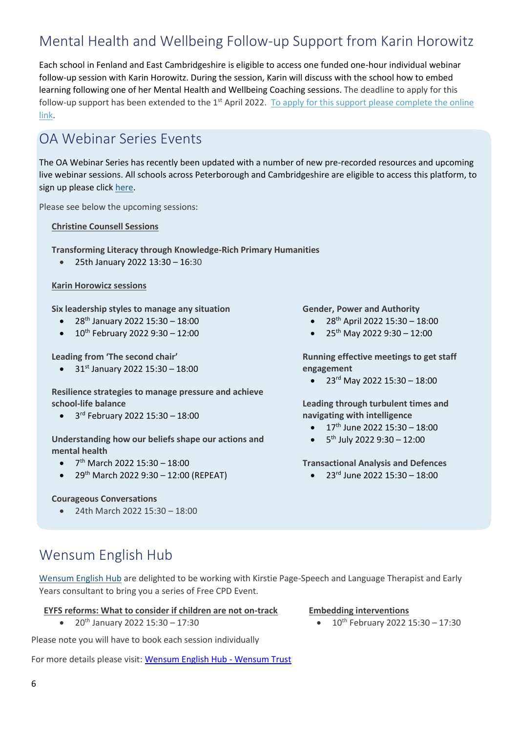## <span id="page-5-0"></span>Mental Health and Wellbeing Follow-up Support from Karin Horowitz

Each school in Fenland and East Cambridgeshire is eligible to access one funded one-hour individual webinar follow-up session with Karin Horowitz. During the session, Karin will discuss with the school how to embed learning following one of her Mental Health and Wellbeing Coaching sessions. The deadline to apply for this follow-up support has been extended to the 1<sup>st</sup> April 2022. To apply for this support please complete the online [link.](https://fenlandeastcambridgeshireoa.files.wordpress.com/2022/01/karin-horowicz-follow-up-support.docx)

### <span id="page-5-1"></span>OA Webinar Series Events

The OA Webinar Series has recently been updated with a number of new pre-recorded resources and upcoming live webinar sessions. All schools across Peterborough and Cambridgeshire are eligible to access this platform, to sign up please clic[k here.](https://bit.ly/3cKALO4)

Please see below the upcoming sessions:

**Christine Counsell Sessions**

**Transforming Literacy through Knowledge-Rich Primary Humanities** 

• 25th January 2022 13:30 – 16:30

#### **Karin Horowicz sessions**

**Six leadership styles to manage any situation**

- 28th January 2022 15:30 18:00
- 10th February 2022 9:30 12:00

**Leading from 'The second chair'**

•  $31^{st}$  January 2022 15:30 - 18:00

**Resilience strategies to manage pressure and achieve school-life balance** 

• 3 rd February 2022 15:30 – 18:00

**Understanding how our beliefs shape our actions and mental health** 

- $\bullet$  7<sup>th</sup> March 2022 15:30 18:00
- 29th March 2022 9:30 12:00 (REPEAT)

#### **Courageous Conversations**

• 24th March 2022 15:30 – 18:00

**Gender, Power and Authority**

- $28^{th}$  April 2022 15:30 18:00
- 25<sup>th</sup> May 2022 9:30 12:00

**Running effective meetings to get staff engagement**

•  $23^{rd}$  May 2022 15:30 - 18:00

**Leading through turbulent times and navigating with intelligence**

- $\bullet$  17<sup>th</sup> June 2022 15:30 18:00
- $\bullet$  5<sup>th</sup> July 2022 9:30 12:00

**Transactional Analysis and Defences**

•  $23^{rd}$  June 2022 15:30 - 18:00

<span id="page-5-2"></span>Wensum English Hub

[Wensum English Hub](https://fenlandeastcambridgeshireoa.files.wordpress.com/2021/12/wensum-english-hub-eyfs-slcn-cpd.pdf) are delighted to be working with Kirstie Page-Speech and Language Therapist and Early Years consultant to bring you a series of Free CPD Event.

#### **EYFS reforms: What to consider if children are not on-track**

• 20th January 2022 15:30 – 17:30

Please note you will have to book each session individually

For more details please visit: [Wensum English Hub -](https://www.wensumtrust.org.uk/wensumenglishhub) Wensum Trust

#### **Embedding interventions**

•  $10^{th}$  February 2022 15:30 – 17:30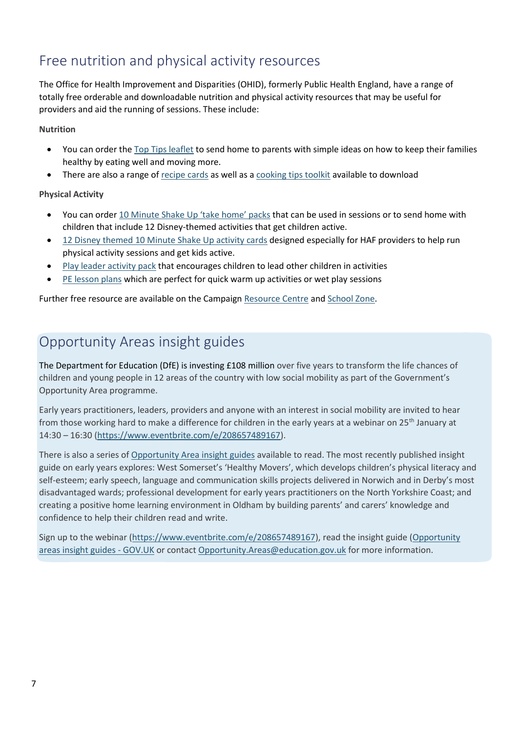## <span id="page-6-0"></span>Free nutrition and physical activity resources

The Office for Health Improvement and Disparities (OHID), formerly Public Health England, have a range of totally free orderable and downloadable nutrition and physical activity resources that may be useful for providers and aid the running of sessions. These include:

### **Nutrition**

- You can order the [Top Tips leaflet](https://campaignresources.phe.gov.uk/resources/campaigns/17/resources/63) to send home to parents with simple ideas on how to keep their families healthy by eating well and moving more.
- There are also a range of [recipe cards](https://campaignresources.phe.gov.uk/schools/resources/healthy-eating-change4life-recipe-print-outs) as well as [a cooking tips toolkit](https://campaignresources.phe.gov.uk/schools/resources/classroom-cooking-toolkit) available to download

### **Physical Activity**

- You can order [10 Minute Shake Up 'take home' packs](https://campaignresources.phe.gov.uk/resources/campaigns/123/resources/5753) that can be used in sessions or to send home with children that include 12 Disney-themed activities that get children active.
- [12 Disney themed 10 Minute Shake Up activity cards](https://www.yourschoolgames.com/search/?query=10+Minute+Shake+Up) designed especially for HAF providers to help run physical activity sessions and get kids active.
- [Play leader activity pack](https://campaignresources.phe.gov.uk/schools/resources/play-leader-activity-pack) that encourages children to lead other children in activities
- [PE lesson plans](https://campaignresources.phe.gov.uk/schools/resources/pe-lesson-plans) which are perfect for quick warm up activities or wet play sessions

Further free resource are available on the Campaign [Resource Centre](https://campaignresources.phe.gov.uk/resources) an[d School Zone.](https://campaignresources.phe.gov.uk/schools)

## <span id="page-6-1"></span>Opportunity Areas insight guides

The Department for Education (DfE) is investing £108 million over five years to transform the life chances of children and young people in 12 areas of the country with low social mobility as part of the Government's Opportunity Area programme.

Early years practitioners, leaders, providers and anyone with an interest in social mobility are invited to hear from those working hard to make a difference for children in the early years at a webinar on 25<sup>th</sup> January at 14:30 – 16:30 [\(https://www.eventbrite.com/e/208657489167\)](https://www.eventbrite.com/e/208657489167).

There is also a series of [Opportunity Area insight guides](https://www.gov.uk/government/publications/opportunity-areas-insight-guides) available to read. The most recently published insight guide on early years explores: West Somerset's 'Healthy Movers', which develops children's physical literacy and self-esteem; early speech, language and communication skills projects delivered in Norwich and in Derby's most disadvantaged wards; professional development for early years practitioners on the North Yorkshire Coast; and creating a positive home learning environment in Oldham by building parents' and carers' knowledge and confidence to help their children read and write.

Sign up to the webinar [\(https://www.eventbrite.com/e/208657489167\)](https://www.eventbrite.com/e/208657489167), read the insight guide [\(Opportunity](https://www.gov.uk/government/publications/opportunity-areas-insight-guides)  [areas insight guides -](https://www.gov.uk/government/publications/opportunity-areas-insight-guides) GOV.UK or contact [Opportunity.Areas@education.gov.uk](mailto:Opportunity.Areas@education.gov.uk) for more information.